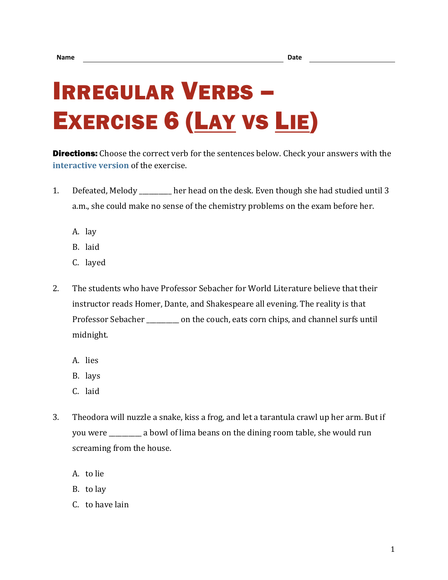## IRREGULAR VERBS – EXERCISE 6 (LAY VS LIE)

**Directions:** Choose the correct verb for the sentences below. Check your answers with the **[interactive version](https://chompchomp.com/irregular06/)** of the exercise.

- 1. Defeated, Melody \_\_\_\_\_\_\_\_\_\_ her head on the desk. Even though she had studied until 3 a.m., she could make no sense of the chemistry problems on the exam before her.
	- A. lay
	- B. laid
	- C. layed
- 2. The students who have Professor Sebacher for World Literature believe that their instructor reads Homer, Dante, and Shakespeare all evening. The reality is that Professor Sebacher \_\_\_\_\_\_\_\_\_\_ on the couch, eats corn chips, and channel surfs until midnight.
	- A. lies
	- B. lays
	- C. laid
- 3. Theodora will nuzzle a snake, kiss a frog, and let a tarantula crawl up her arm. But if you were \_\_\_\_\_\_\_\_\_\_ a bowl of lima beans on the dining room table, she would run screaming from the house.
	- A. to lie
	- B. to lay
	- C. to have lain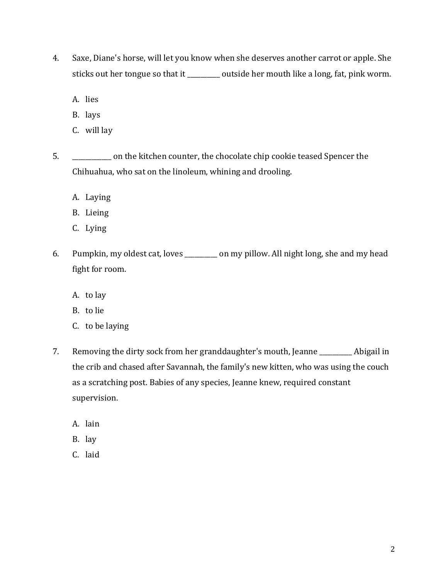- 4. Saxe, Diane's horse, will let you know when she deserves another carrot or apple. She sticks out her tongue so that it \_\_\_\_\_\_\_\_ outside her mouth like a long, fat, pink worm.
	- A. lies
	- B. lays
	- C. will lay
- 5. \_\_\_\_\_\_\_\_\_\_\_\_ on the kitchen counter, the chocolate chip cookie teased Spencer the Chihuahua, who sat on the linoleum, whining and drooling.
	- A. Laying
	- B. Lieing
	- C. Lying
- 6. Pumpkin, my oldest cat, loves \_\_\_\_\_\_\_\_\_\_ on my pillow. All night long, she and my head fight for room.
	- A. to lay
	- B. to lie
	- C. to be laying
- 7. Removing the dirty sock from her granddaughter's mouth, Jeanne and Abigail in the crib and chased after Savannah, the family's new kitten, who was using the couch as a scratching post. Babies of any species, Jeanne knew, required constant supervision.
	- A. lain
	- B. lay
	- C. laid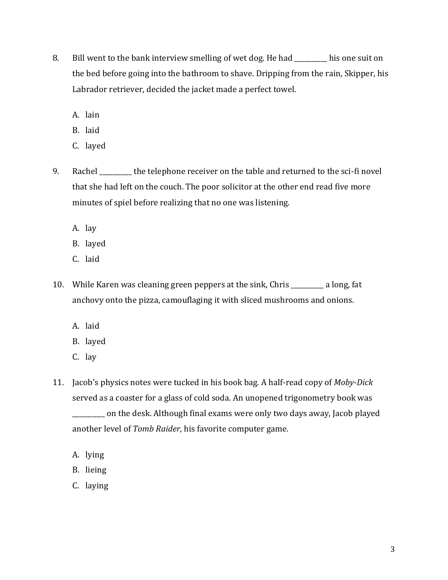- 8. Bill went to the bank interview smelling of wet dog. He had \_\_\_\_\_\_\_\_\_\_ his one suit on the bed before going into the bathroom to shave. Dripping from the rain, Skipper, his Labrador retriever, decided the jacket made a perfect towel.
	- A. lain
	- B. laid
	- C. layed
- 9. Rachel the telephone receiver on the table and returned to the sci-fi novel that she had left on the couch. The poor solicitor at the other end read five more minutes of spiel before realizing that no one was listening.
	- A. lay
	- B. layed
	- C. laid
- 10. While Karen was cleaning green peppers at the sink, Chris \_\_\_\_\_\_\_\_\_\_ a long, fat anchovy onto the pizza, camouflaging it with sliced mushrooms and onions.
	- A. laid
	- B. layed
	- C. lay
- 11. Jacob's physics notes were tucked in his book bag. A half-read copy of *Moby-Dick* served as a coaster for a glass of cold soda. An unopened trigonometry book was

\_\_\_\_\_\_\_\_\_\_ on the desk. Although final exams were only two days away, Jacob played another level of *Tomb Raider*, his favorite computer game.

- A. lying
- B. lieing
- C. laying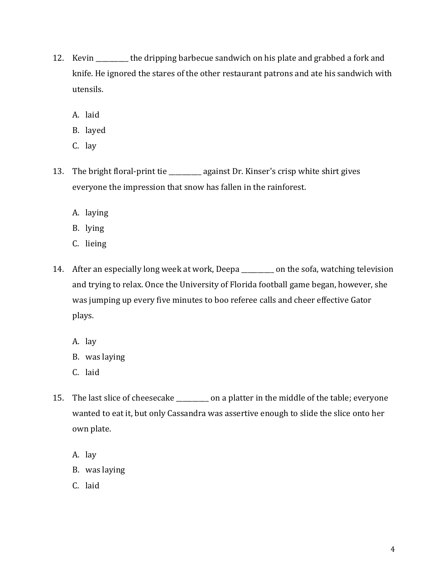- 12. Kevin \_\_\_\_\_\_\_\_\_\_ the dripping barbecue sandwich on his plate and grabbed a fork and knife. He ignored the stares of the other restaurant patrons and ate his sandwich with utensils.
	- A. laid
	- B. layed
	- C. lay
- 13. The bright floral-print tie \_\_\_\_\_\_\_\_ against Dr. Kinser's crisp white shirt gives everyone the impression that snow has fallen in the rainforest.
	- A. laying
	- B. lying
	- C. lieing
- 14. After an especially long week at work, Deepa \_\_\_\_\_\_\_\_ on the sofa, watching television and trying to relax. Once the University of Florida football game began, however, she was jumping up every five minutes to boo referee calls and cheer effective Gator plays.
	- A. lay
	- B. was laying
	- C. laid
- 15. The last slice of cheesecake \_\_\_\_\_\_\_\_ on a platter in the middle of the table; everyone wanted to eat it, but only Cassandra was assertive enough to slide the slice onto her own plate.
	- A. lay
	- B. was laying
	- C. laid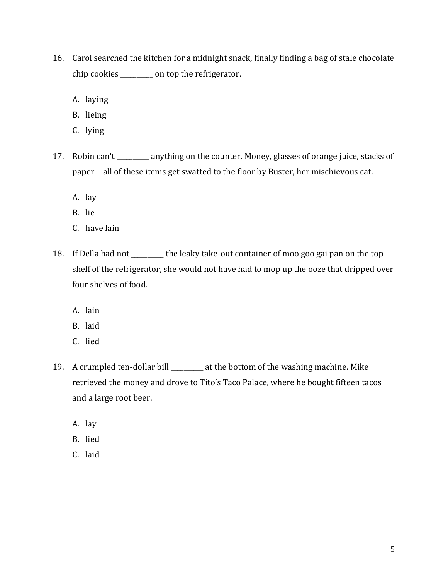- 16. Carol searched the kitchen for a midnight snack, finally finding a bag of stale chocolate chip cookies \_\_\_\_\_\_\_\_\_\_ on top the refrigerator.
	- A. laying
	- B. lieing
	- C. lying
- 17. Robin can't \_\_\_\_\_\_\_\_\_\_ anything on the counter. Money, glasses of orange juice, stacks of paper—all of these items get swatted to the floor by Buster, her mischievous cat.
	- A. lay
	- B. lie
	- C. have lain
- 18. If Della had not \_\_\_\_\_\_\_\_\_\_ the leaky take-out container of moo goo gai pan on the top shelf of the refrigerator, she would not have had to mop up the ooze that dripped over four shelves of food.
	- A. lain
	- B. laid
	- C. lied
- 19. A crumpled ten-dollar bill \_\_\_\_\_\_\_\_\_\_ at the bottom of the washing machine. Mike retrieved the money and drove to Tito's Taco Palace, where he bought fifteen tacos and a large root beer.
	- A. lay
	- B. lied
	- C. laid